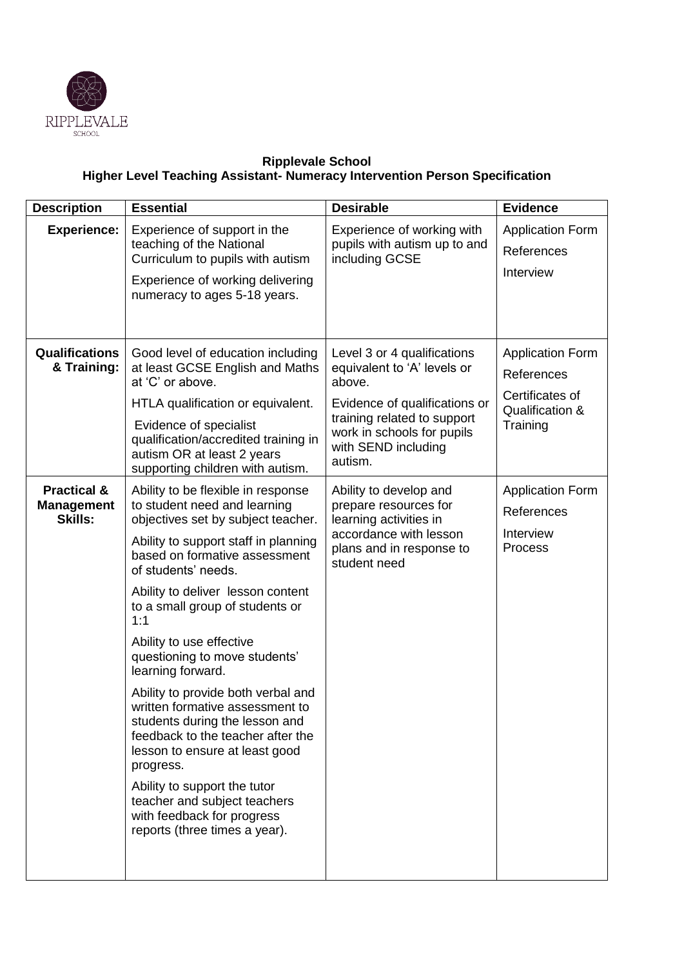

## **Ripplevale School Higher Level Teaching Assistant- Numeracy Intervention Person Specification**

| <b>Description</b>                                            | <b>Essential</b>                                                                                                                                                                                                                                                                                                                                                                                                                                                                                                                                                                                                                                                                                        | <b>Desirable</b>                                                                                                                                                                                     | <b>Evidence</b>                                                                         |
|---------------------------------------------------------------|---------------------------------------------------------------------------------------------------------------------------------------------------------------------------------------------------------------------------------------------------------------------------------------------------------------------------------------------------------------------------------------------------------------------------------------------------------------------------------------------------------------------------------------------------------------------------------------------------------------------------------------------------------------------------------------------------------|------------------------------------------------------------------------------------------------------------------------------------------------------------------------------------------------------|-----------------------------------------------------------------------------------------|
| <b>Experience:</b>                                            | Experience of support in the<br>teaching of the National<br>Curriculum to pupils with autism<br>Experience of working delivering<br>numeracy to ages 5-18 years.                                                                                                                                                                                                                                                                                                                                                                                                                                                                                                                                        | Experience of working with<br>pupils with autism up to and<br>including GCSE                                                                                                                         | <b>Application Form</b><br>References<br>Interview                                      |
| <b>Qualifications</b><br>& Training:                          | Good level of education including<br>at least GCSE English and Maths<br>at 'C' or above.<br>HTLA qualification or equivalent.<br>Evidence of specialist<br>qualification/accredited training in<br>autism OR at least 2 years<br>supporting children with autism.                                                                                                                                                                                                                                                                                                                                                                                                                                       | Level 3 or 4 qualifications<br>equivalent to 'A' levels or<br>above.<br>Evidence of qualifications or<br>training related to support<br>work in schools for pupils<br>with SEND including<br>autism. | <b>Application Form</b><br>References<br>Certificates of<br>Qualification &<br>Training |
| <b>Practical &amp;</b><br><b>Management</b><br><b>Skills:</b> | Ability to be flexible in response<br>to student need and learning<br>objectives set by subject teacher.<br>Ability to support staff in planning<br>based on formative assessment<br>of students' needs.<br>Ability to deliver lesson content<br>to a small group of students or<br>1:1<br>Ability to use effective<br>questioning to move students'<br>learning forward.<br>Ability to provide both verbal and<br>written formative assessment to<br>students during the lesson and<br>feedback to the teacher after the<br>lesson to ensure at least good<br>progress.<br>Ability to support the tutor<br>teacher and subject teachers<br>with feedback for progress<br>reports (three times a year). | Ability to develop and<br>prepare resources for<br>learning activities in<br>accordance with lesson<br>plans and in response to<br>student need                                                      | <b>Application Form</b><br>References<br>Interview<br>Process                           |